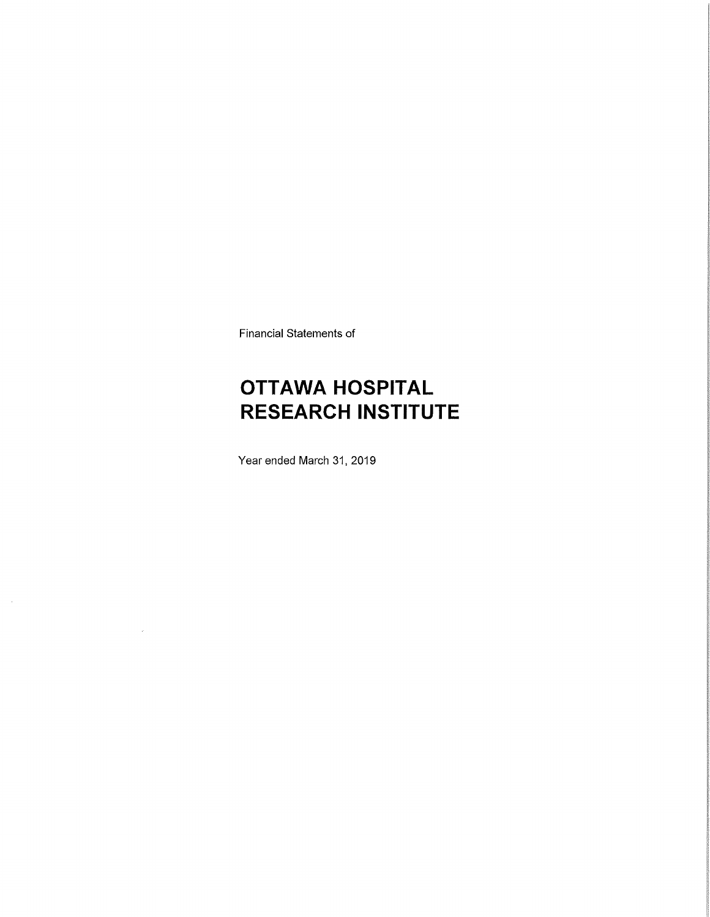Financial Statements of

# **OTTAWA HOSPITAL RESEARCH INSTITUTE**

Year ended March 31, 2019

 $\sim$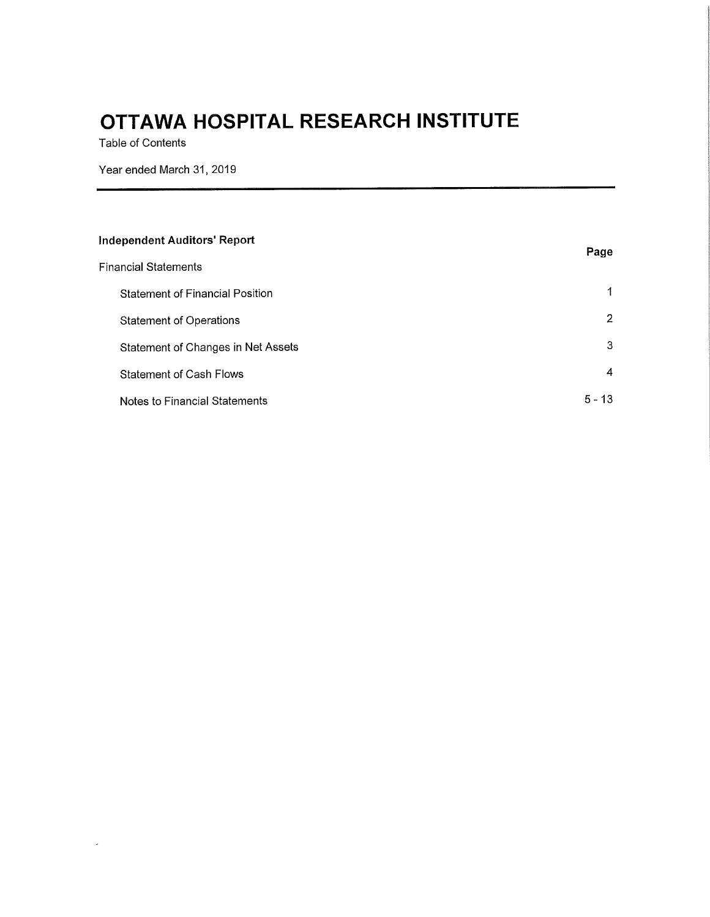Table of Contents

 $\bar{\mathcal{A}}$ 

Year ended March 31, 2019

| <b>Independent Auditors' Report</b>    | Page     |
|----------------------------------------|----------|
| <b>Financial Statements</b>            |          |
| <b>Statement of Financial Position</b> | 1        |
| <b>Statement of Operations</b>         | 2        |
| Statement of Changes in Net Assets     | 3        |
| <b>Statement of Cash Flows</b>         | 4        |
| Notes to Financial Statements          | $5 - 13$ |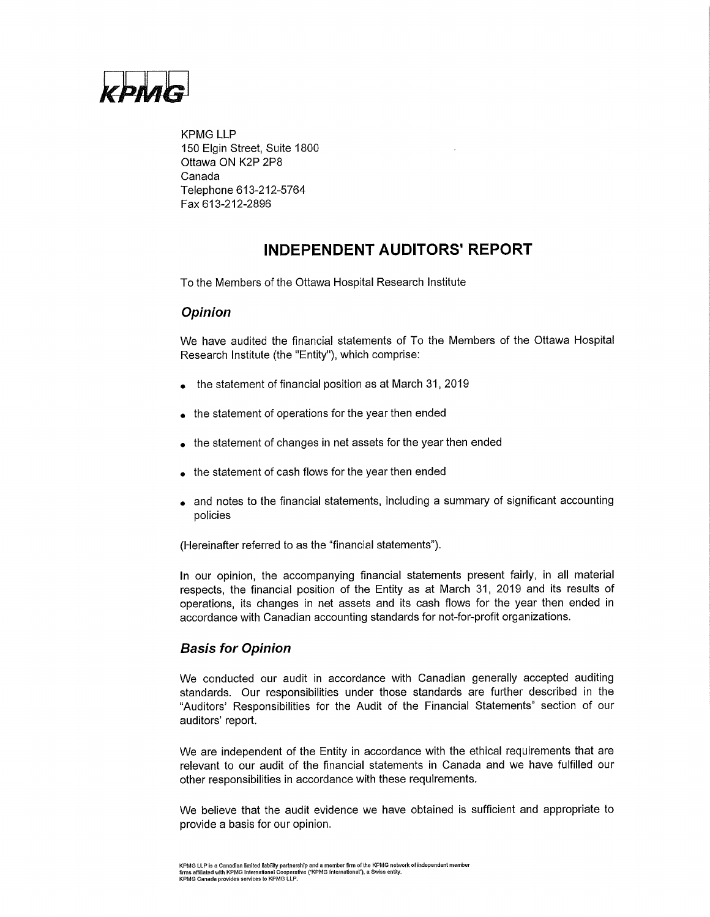

KPMG LLP 150 Elgin Street, Suite 1800 Ottawa ON K2P 2P8 Canada Telephone 613-212-5764 Fax 613-212-2896

# **INDEPENDENT AUDITORS' REPORT**

To the Members of the Ottawa Hospital Research Institute

## **Opinion**

We have audited the financial statements of To the Members of the Ottawa Hospital Research Institute (the "Entity"), which comprise:

- the statement of financial position as at March 31, 2019
- the statement of operations for the year then ended
- the statement of changes in net assets for the year then ended
- the statement of cash flows for the year then ended
- and notes to the financial statements, including a summary of significant accounting policies

(Hereinafter referred to as the "financial statements").

In our opinion, the accompanying financial statements present fairly, in all material respects, the financial position of the Entity as at March 31, 2019 and its results of operations, its changes in net assets and its cash flows for the year then ended in accordance with Canadian accounting standards for not-for-profit organizations.

# **Basis for Opinion**

We conducted our audit in accordance with Canadian generally accepted auditing standards. Our responsibilities under those standards are further described in the "Auditors' Responsibilities for the Audit of the Financial Statements" section of our auditors' report.

We are independent of the Entity in accordance with the ethical requirements that are relevant to our audit of the financial statements in Canada and we have fulfilled our other responsibilities in accordance with these requirements.

We believe that the audit evidence we have obtained is sufficient and appropriate to provide a basis for our opinion.

KPMG LLP is a Canadian limited liability partnership and a member firm of the KPMG network of independent member<br>firms affiliated with KPMG International Cooperative ("KPMG International"), a Swiss entity.<br>KPMG Canada prov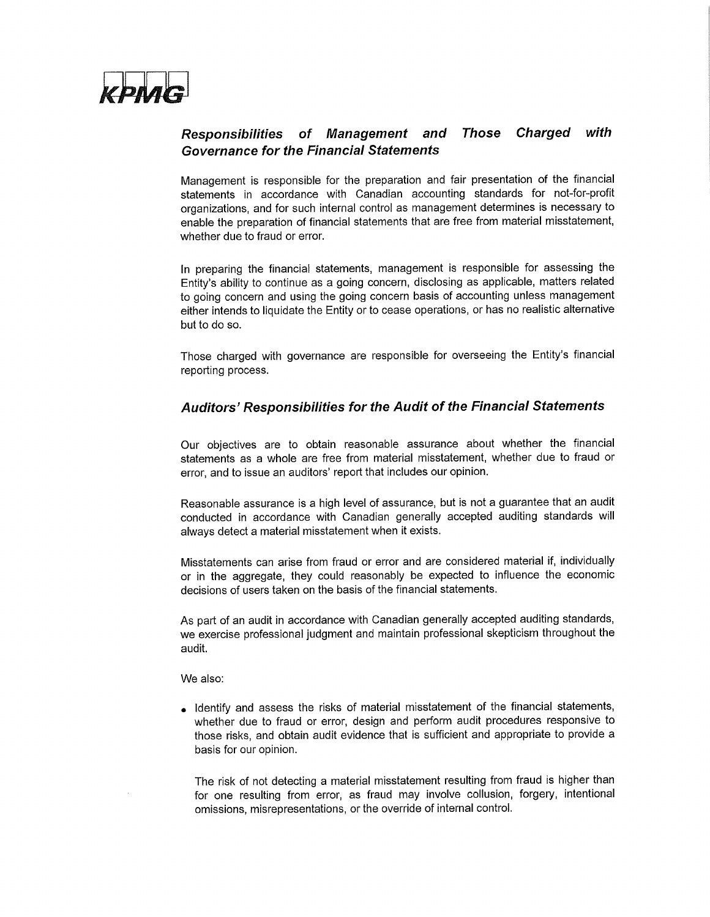

# **Responsibilities of Management and Those Charged with Governance for the Financial Statements**

Management is responsible for the preparation and fair presentation of the financial statements in accordance with Canadian accounting standards for not-for-profit organizations, and for such internal control as management determines is necessary to enable the preparation of financial statements that are free from material misstatement, whether due to fraud or error.

In preparing the financial statements, management is responsible for assessing the Entity's ability to continue as a going concern, disclosing as applicable, matters related to going concern and using the going concern basis of accounting unless management either intends to liquidate the Entity or to cease operations, or has no realistic alternative but to do so.

Those charged with governance are responsible for overseeing the Entity's financial reporting process.

# **Auditors' Responsibilities for the Audit of the Financial Statements**

Our objectives are to obtain reasonable assurance about whether the financial statements as a whole are free from material misstatement, whether due to fraud or error, and to issue an auditors' report that includes our opinion.

Reasonable assurance is a high level of assurance, but is not a guarantee that an audit conducted in accordance with Canadian generally accepted auditing standards will always detect a material misstatement when it exists.

Misstatements can arise from fraud or error and are considered material if, individually or in the aggregate, they could reasonably be expected to influence the economic decisions of users taken on the basis of the financial statements.

As part of an audit in accordance with Canadian generally accepted auditing standards, we exercise professional judgment and maintain professional skepticism throughout the audit.

We also:

• Identify and assess the risks of material misstatement of the financial statements, whether due to fraud or error, design and perform audit procedures responsive to those risks, and obtain audit evidence that is sufficient and appropriate to provide a basis for our opinion.

The risk of not detecting a material misstatement resulting from fraud is higher than for one resulting from error, as fraud may involve collusion, forgery, intentional omissions, misrepresentations, or the override of internal control.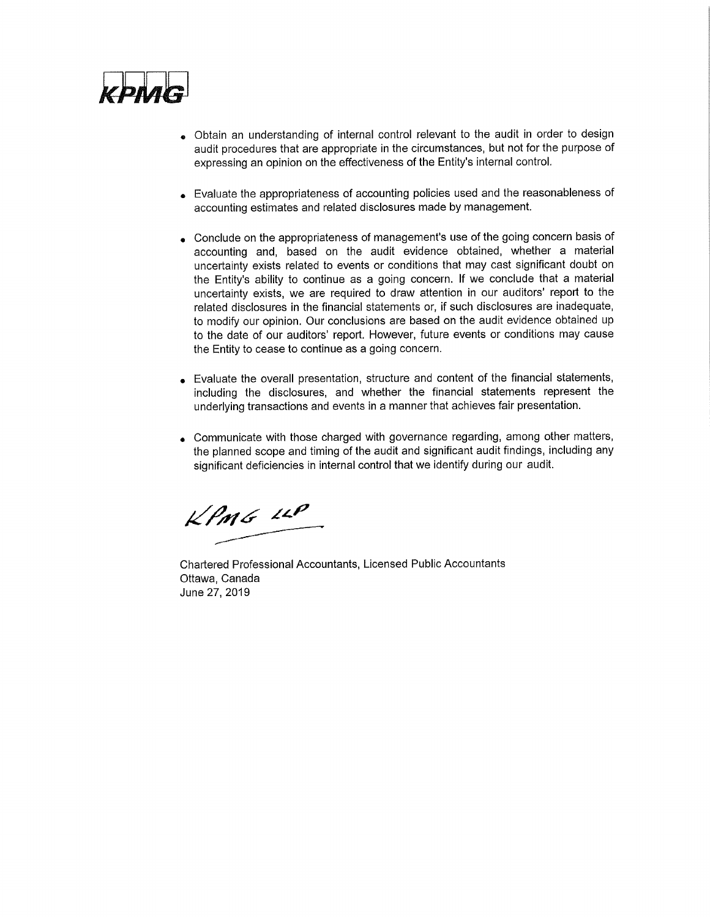

- Obtain an understanding of internal control relevant to the audit in order to design audit procedures that are appropriate in the circumstances, but not for the purpose of expressing an opinion on the effectiveness of the Entity's internal control.
- Evaluate the appropriateness of accounting policies used and the reasonableness of accounting estimates and related disclosures made by management.
- Conclude on the appropriateness of management's use of the going concern basis of accounting and, based on the audit evidence obtained, whether a material uncertainty exists related to events or conditions that may cast significant doubt on the Entity's ability to continue as a going concern. If we conclude that a material uncertainty exists, we are required to draw attention in our auditors' report to the related disclosures in the financial statements or, if such disclosures are inadequate, to modify our opinion. Our conclusions are based on the audit evidence obtained up to the date of our auditors' report. However, future events or conditions may cause the Entity to cease to continue as a going concern.
- Evaluate the overall presentation, structure and content of the financial statements, including the disclosures, and whether the financial statements represent the underlying transactions and events in a manner that achieves fair presentation.
- Communicate with those charged with governance regarding, among other matters, the planned scope and timing of the audit and significant audit findings, including any significant deficiencies in internal control that we identify during our audit.

 $K$ *PmG*  $H$  $P$ 

Chartered Professional Accountants, Licensed Public Accountants Ottawa, Canada June 27, 2019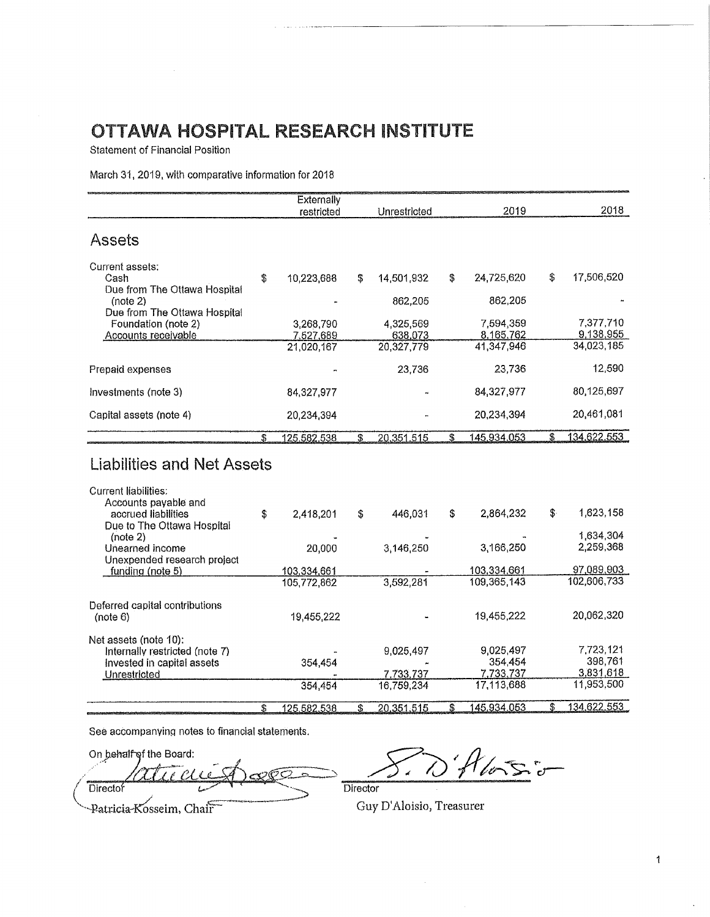Statement of Financial Position

March 31, 2019, with comparative information for 2018

|                                                                                                          | Externally<br>restricted |              | Unrestricted           | 2019                              | 2018                              |
|----------------------------------------------------------------------------------------------------------|--------------------------|--------------|------------------------|-----------------------------------|-----------------------------------|
| <b>Assets</b>                                                                                            |                          |              |                        |                                   |                                   |
| Current assets:<br>Cash<br>Due from The Ottawa Hospital                                                  | \$<br>10,223,688         | \$           | 14,501,932             | \$<br>24,725,620                  | \$<br>17,506,520                  |
| (note 2)<br>Due from The Ottawa Hospital                                                                 |                          |              | 862,205                | 862,205                           |                                   |
| Foundation (note 2)<br>Accounts receivable                                                               | 3,268,790<br>7,527,689   |              | 4,325,569<br>638,073   | 7,594,359<br>8,165,762            | 7,377,710<br>9,138,955            |
|                                                                                                          | 21,020,167               |              | 20,327,779             | 41,347,946                        | 34,023,185                        |
| Prepaid expenses                                                                                         |                          |              | 23,736                 | 23,736                            | 12,590                            |
| Investments (note 3)                                                                                     | 84, 327, 977             |              |                        | 84,327,977                        | 80,125,697                        |
| Capital assets (note 4)                                                                                  | 20,234,394               |              |                        | 20,234,394                        | 20,461,081                        |
|                                                                                                          | \$<br>125.582.538        | \$           | 20,351.515             | \$<br>145,934,053                 | \$<br>134.622.553                 |
| <b>Liabilities and Net Assets</b>                                                                        |                          |              |                        |                                   |                                   |
| <b>Current liabilities:</b><br>Accounts payable and<br>accrued liabilities<br>Due to The Ottawa Hospital | \$<br>2,418,201          | \$           | 446,031                | \$<br>2,864,232                   | \$<br>1,623,158                   |
| (note 2)<br>Unearned income<br>Unexpended research project                                               | 20,000                   |              | 3,146.250              | 3,166,250                         | 1,634,304<br>2,259,368            |
| funding (note 5)                                                                                         | 103,334,661              |              |                        | 103,334,661                       | 97,089,903                        |
|                                                                                                          | 105,772,862              |              | 3,592,281              | 109,365,143                       | 102,606,733                       |
| Deferred capital contributions<br>(note 6)                                                               | 19,455,222               |              |                        | 19,455,222                        | 20,062,320                        |
| Net assets (note 10):<br>Internally restricted (note 7)<br>Invested in capital assets<br>Unrestricted    | 354,454                  |              | 9,025,497<br>7,733,737 | 9,025,497<br>354,454<br>7,733,737 | 7.723,121<br>398,761<br>3,831,618 |
|                                                                                                          | 354,454                  |              | 16,759,234             | 17,113,688                        | 11,953,500                        |
|                                                                                                          | \$<br>125,582,538        | $\mathbf{E}$ | 20,351,515             | \$<br>145,934,053                 | \$<br>134,622.553                 |

See accompanying notes to financial statements.

On behalf of the Board: \_ 7C Director Director Director

Ve z,

-Patricia-Kosseim, Chair — Guy D'Aloisio, Treasurer

1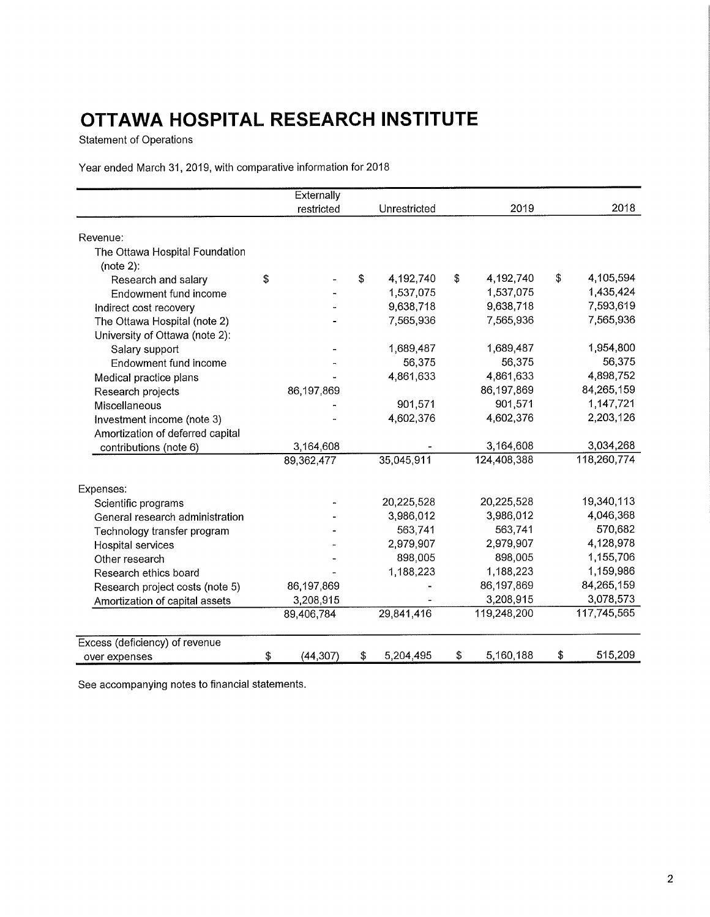Statement of Operations

Year ended March 31, 2019, with comparative information for 2018

|                                  | Externally      |                     |                 |                 |
|----------------------------------|-----------------|---------------------|-----------------|-----------------|
|                                  | restricted      | Unrestricted        | 2019            | 2018            |
|                                  |                 |                     |                 |                 |
| Revenue:                         |                 |                     |                 |                 |
| The Ottawa Hospital Foundation   |                 |                     |                 |                 |
| (note $2$ ):                     | \$              | \$<br>4,192,740     | \$<br>4,192,740 | \$<br>4,105,594 |
| Research and salary              |                 | 1,537,075           | 1,537,075       | 1,435,424       |
| Endowment fund income            |                 | 9,638,718           | 9,638,718       | 7,593,619       |
| Indirect cost recovery           |                 | 7,565,936           | 7,565,936       | 7,565,936       |
| The Ottawa Hospital (note 2)     |                 |                     |                 |                 |
| University of Ottawa (note 2):   |                 | 1,689,487           | 1,689,487       | 1,954,800       |
| Salary support                   |                 |                     | 56,375          | 56,375          |
| Endowment fund income            |                 | 56,375<br>4,861,633 | 4,861,633       | 4,898,752       |
| Medical practice plans           |                 |                     | 86,197,869      | 84,265,159      |
| Research projects                | 86,197,869      |                     |                 | 1,147,721       |
| Miscellaneous                    |                 | 901,571             | 901,571         | 2,203,126       |
| Investment income (note 3)       |                 | 4,602,376           | 4,602,376       |                 |
| Amortization of deferred capital |                 |                     |                 |                 |
| contributions (note 6)           | 3,164,608       |                     | 3,164,608       | 3,034,268       |
|                                  | 89, 362, 477    | 35,045,911          | 124,408,388     | 118,260,774     |
| Expenses:                        |                 |                     |                 |                 |
| Scientific programs              |                 | 20,225,528          | 20,225,528      | 19,340,113      |
| General research administration  |                 | 3,986,012           | 3,986,012       | 4,046,368       |
| Technology transfer program      |                 | 563,741             | 563,741         | 570,682         |
| Hospital services                |                 | 2,979,907           | 2,979,907       | 4,128,978       |
| Other research                   |                 | 898,005             | 898,005         | 1,155,706       |
| Research ethics board            |                 | 1,188,223           | 1,188,223       | 1,159,986       |
| Research project costs (note 5)  | 86,197,869      |                     | 86,197,869      | 84,265,159      |
| Amortization of capital assets   | 3,208,915       |                     | 3,208,915       | 3,078,573       |
|                                  | 89,406,784      | 29,841,416          | 119,248,200     | 117,745,565     |
| Excess (deficiency) of revenue   |                 |                     |                 |                 |
| over expenses                    | \$<br>(44, 307) | \$<br>5,204,495     | \$<br>5,160,188 | \$<br>515,209   |

See accompanying notes to financial statements.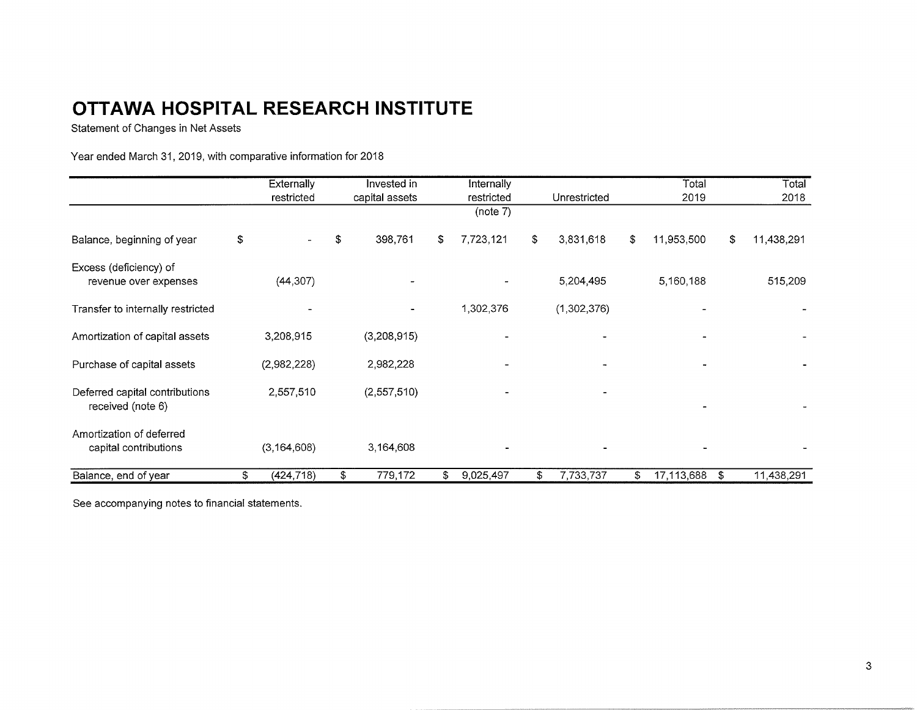Statement of Changes in Net Assets

Year ended March 31, 2019, with comparative information for 2018

|                                                     | Externally       | Invested in    |     | Internally |                 | Total            | Total            |
|-----------------------------------------------------|------------------|----------------|-----|------------|-----------------|------------------|------------------|
|                                                     | restricted       | capital assets |     | restricted | Unrestricted    | 2019             | 2018             |
|                                                     |                  |                |     | (note 7)   |                 |                  |                  |
| Balance, beginning of year                          | \$               | \$<br>398,761  | S   | 7,723,121  | \$<br>3,831,618 | \$<br>11,953,500 | \$<br>11,438,291 |
| Excess (deficiency) of<br>revenue over expenses     | (44, 307)        |                |     |            | 5,204,495       | 5,160,188        | 515,209          |
| Transfer to internally restricted                   |                  | $\blacksquare$ |     | 1,302,376  | (1,302,376)     |                  |                  |
| Amortization of capital assets                      | 3,208,915        | (3,208,915)    |     |            |                 |                  |                  |
| Purchase of capital assets                          | (2,982,228)      | 2,982,228      |     |            |                 |                  |                  |
| Deferred capital contributions<br>received (note 6) | 2,557,510        | (2,557,510)    |     |            |                 |                  |                  |
| Amortization of deferred<br>capital contributions   | (3, 164, 608)    | 3,164,608      |     |            |                 |                  |                  |
| Balance, end of year                                | \$<br>(424, 718) | \$<br>779,172  | \$. | 9,025,497  | \$<br>7,733,737 | \$<br>17,113,688 | \$<br>11,438,291 |

See accompanying notes to financial statements.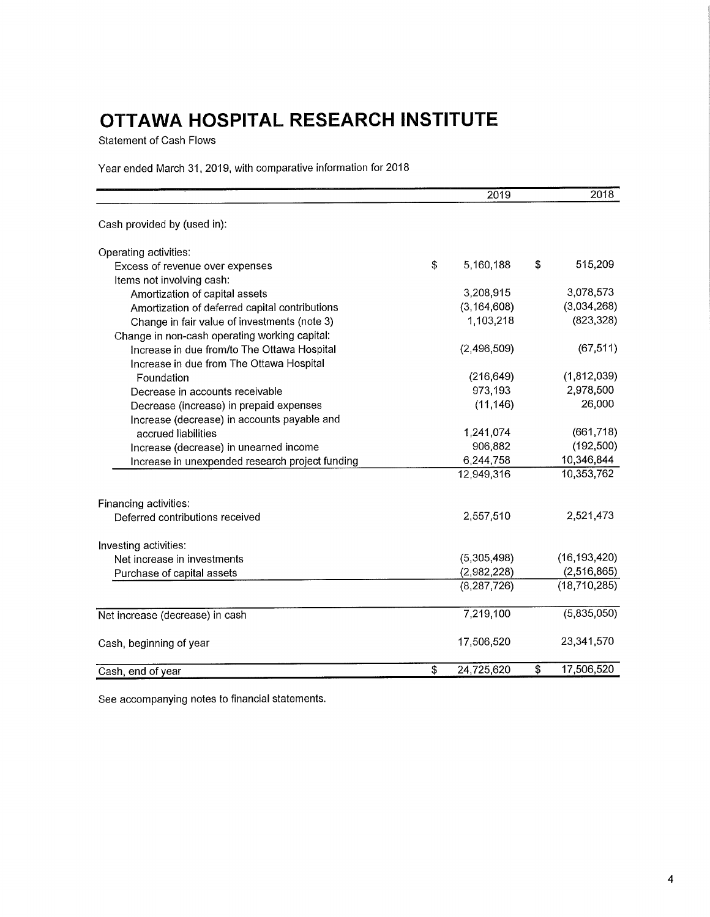Statement of Cash Flows

Year ended March 31, 2019, with comparative information for 2018

|                                                 | 2019             | 2018             |
|-------------------------------------------------|------------------|------------------|
| Cash provided by (used in):                     |                  |                  |
| Operating activities:                           |                  |                  |
| Excess of revenue over expenses                 | \$<br>5,160,188  | \$<br>515,209    |
| Items not involving cash:                       |                  |                  |
| Amortization of capital assets                  | 3,208,915        | 3,078,573        |
| Amortization of deferred capital contributions  | (3, 164, 608)    | (3,034,268)      |
| Change in fair value of investments (note 3)    | 1,103,218        | (823, 328)       |
| Change in non-cash operating working capital:   |                  |                  |
| Increase in due from/to The Ottawa Hospital     | (2,496,509)      | (67, 511)        |
| Increase in due from The Ottawa Hospital        |                  |                  |
| Foundation                                      | (216, 649)       | (1,812,039)      |
| Decrease in accounts receivable                 | 973,193          | 2,978,500        |
| Decrease (increase) in prepaid expenses         | (11, 146)        | 26,000           |
| Increase (decrease) in accounts payable and     |                  |                  |
| accrued liabilities                             | 1,241,074        | (661, 718)       |
| Increase (decrease) in unearned income          | 906,882          | (192, 500)       |
| Increase in unexpended research project funding | 6,244,758        | 10,346,844       |
|                                                 | 12,949,316       | 10,353,762       |
| Financing activities:                           |                  |                  |
| Deferred contributions received                 | 2,557,510        | 2,521,473        |
| Investing activities:                           |                  |                  |
| Net increase in investments                     | (5,305,498)      | (16, 193, 420)   |
| Purchase of capital assets                      | (2,982,228)      | (2,516,865)      |
|                                                 | (8, 287, 726)    | (18, 710, 285)   |
| Net increase (decrease) in cash                 | 7,219,100        | (5,835,050)      |
| Cash, beginning of year                         | 17,506,520       | 23,341,570       |
| Cash, end of year                               | \$<br>24,725,620 | \$<br>17,506,520 |

See accompanying notes to financial statements.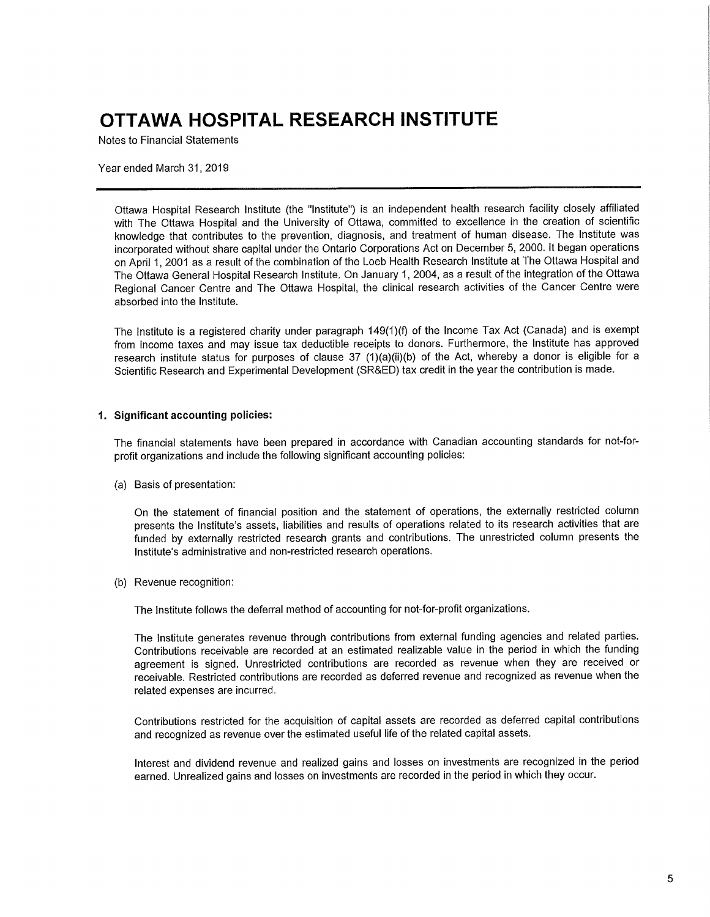Notes to Financial Statements

Year ended March 31, 2019

Ottawa Hospital Research Institute (the "Institute") is an independent health research facility closely affiliated with The Ottawa Hospital and the University of Ottawa, committed to excellence in the creation of scientific knowledge that contributes to the prevention, diagnosis, and treatment of human disease. The Institute was incorporated without share capital under the Ontario Corporations Act on December 5, 2000. It began operations on April 1, 2001 as a result of the combination of the Loeb Health Research Institute at The Ottawa Hospital and The Ottawa General Hospital Research Institute. On January 1, 2004, as a result of the integration of the Ottawa Regional Cancer Centre and The Ottawa Hospital, the clinical research activities of the Cancer Centre were absorbed into the Institute.

The Institute is a registered charity under paragraph 149(1)(f) of the Income Tax Act (Canada) and is exempt from income taxes and may issue tax deductible receipts to donors. Furthermore, the Institute has approved research institute status for purposes of clause 37 (1)(a)(ii)(b) of the Act, whereby a donor is eligible for a Scientific Research and Experimental Development (SR&ED) tax credit in the year the contribution is made.

## **1. Significant accounting policies:**

The financial statements have been prepared in accordance with Canadian accounting standards for not-forprofit organizations and include the following significant accounting policies:

(a) Basis of presentation:

On the statement of financial position and the statement of operations, the externally restricted column presents the Institute's assets, liabilities and results of operations related to its research activities that are funded by externally restricted research grants and contributions. The unrestricted column presents the Institute's administrative and non-restricted research operations.

(b) Revenue recognition:

The Institute follows the deferral method of accounting for not-for-profit organizations.

The Institute generates revenue through contributions from external funding agencies and related parties. Contributions receivable are recorded at an estimated realizable value in the period in which the funding agreement is signed. Unrestricted contributions are recorded as revenue when they are received or receivable. Restricted contributions are recorded as deferred revenue and recognized as revenue when the related expenses are incurred.

Contributions restricted for the acquisition of capital assets are recorded as deferred capital contributions and recognized as revenue over the estimated useful life of the related capital assets.

Interest and dividend revenue and realized gains and losses on investments are recognized in the period earned. Unrealized gains and losses on investments are recorded in the period in which they occur.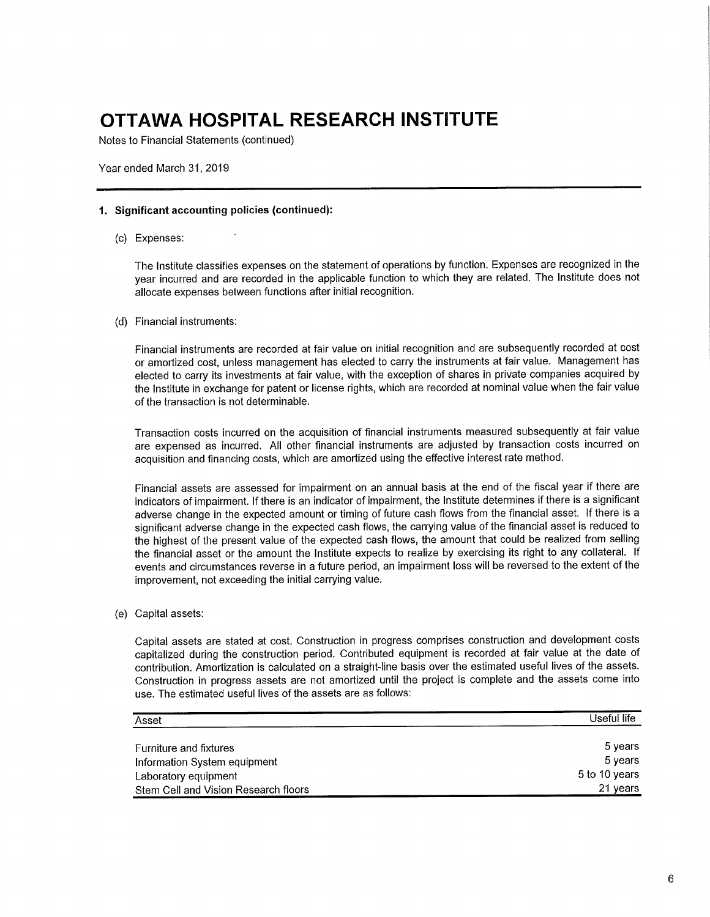Notes to Financial Statements (continued)

Year ended March 31, 2019

### **1. Significant accounting policies (continued):**

### (c) Expenses:

The Institute classifies expenses on the statement of operations by function. Expenses are recognized in the year incurred and are recorded in the applicable function to which they are related. The Institute does not allocate expenses between functions after initial recognition.

### (d) Financial instruments:

Financial instruments are recorded at fair value on initial recognition and are subsequently recorded at cost or amortized cost, unless management has elected to carry the instruments at fair value. Management has elected to carry its investments at fair value, with the exception of shares in private companies acquired by the Institute in exchange for patent or license rights, which are recorded at nominal value when the fair value of the transaction is not determinable.

Transaction costs incurred on the acquisition of financial instruments measured subsequently at fair value are expensed as incurred. All other financial instruments are adjusted by transaction costs incurred on acquisition and financing costs, which are amortized using the effective interest rate method.

Financial assets are assessed for impairment on an annual basis at the end of the fiscal year if there are indicators of impairment. If there is an indicator of impairment, the Institute determines if there is a significant adverse change in the expected amount or timing of future cash flows from the financial asset. If there is a significant adverse change in the expected cash flows, the carrying value of the financial asset is reduced to the highest of the present value of the expected cash flows, the amount that could be realized from selling the financial asset or the amount the Institute expects to realize by exercising its right to any collateral. If events and circumstances reverse in a future period, an impairment loss will be reversed to the extent of the improvement, not exceeding the initial carrying value.

(e) Capital assets:

Capital assets are stated at cost. Construction in progress comprises construction and development costs capitalized during the construction period. Contributed equipment is recorded at fair value at the date of contribution. Amortization is calculated on a straight-line basis over the estimated useful lives of the assets. Construction in progress assets are not amortized until the project is complete and the assets come into use. The estimated useful lives of the assets are as follows:

| Asset                                | Useful life   |
|--------------------------------------|---------------|
|                                      |               |
| Furniture and fixtures               | 5 years       |
| Information System equipment         | 5 years       |
| Laboratory equipment                 | 5 to 10 years |
| Stem Cell and Vision Research floors | 21 years      |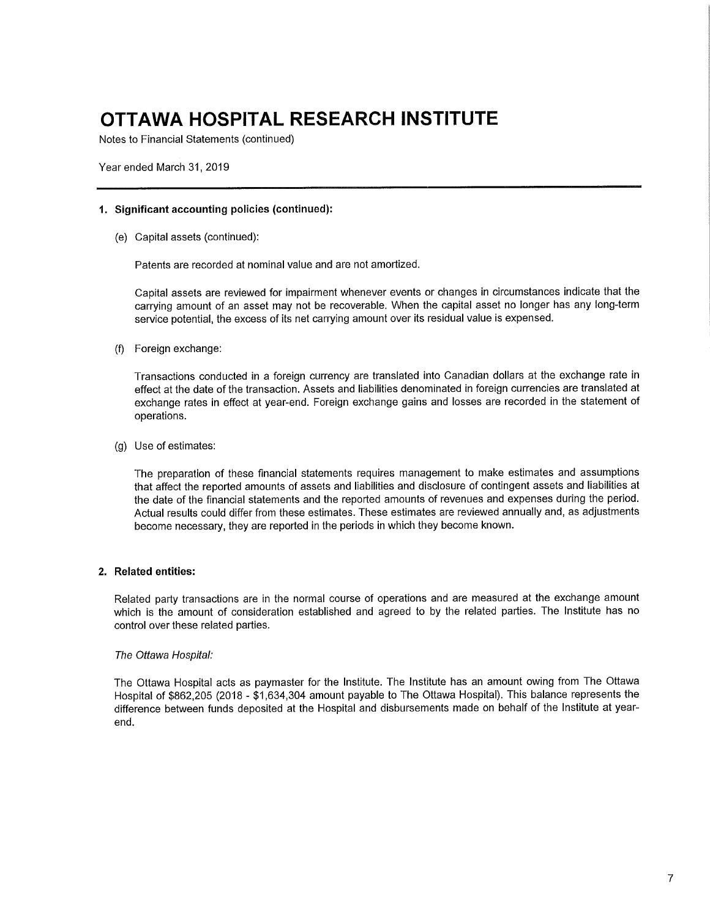Notes to Financial Statements (continued)

Year ended March 31, 2019

### **1. Significant accounting policies (continued):**

(e) Capital assets (continued):

Patents are recorded at nominal value and are not amortized.

Capital assets are reviewed for impairment whenever events or changes in circumstances indicate that the carrying amount of an asset may not be recoverable. When the capital asset no longer has any long-term service potential, the excess of its net carrying amount over its residual value is expensed.

(f) Foreign exchange:

Transactions conducted in a foreign currency are translated into Canadian dollars at the exchange rate in effect at the date of the transaction. Assets and liabilities denominated in foreign currencies are translated at exchange rates in effect at year-end. Foreign exchange gains and losses are recorded in the statement of operations.

(g) Use of estimates:

The preparation of these financial statements requires management to make estimates and assumptions that affect the reported amounts of assets and liabilities and disclosure of contingent assets and liabilities at the date of the financial statements and the reported amounts of revenues and expenses during the period. Actual results could differ from these estimates. These estimates are reviewed annually and, as adjustments become necessary, they are reported in the periods in which they become known.

### **2. Related entities:**

Related party transactions are in the normal course of operations and are measured at the exchange amount which is the amount of consideration established and agreed to by the related parties. The Institute has no control over these related parties.

### The Ottawa Hospital:

The Ottawa Hospital acts as paymaster for the Institute. The Institute has an amount owing from The Ottawa Hospital of \$862,205 (2018 -\$1,634,304 amount payable to The Ottawa Hospital). This balance represents the difference between funds deposited at the Hospital and disbursements made on behalf of the Institute at yearend.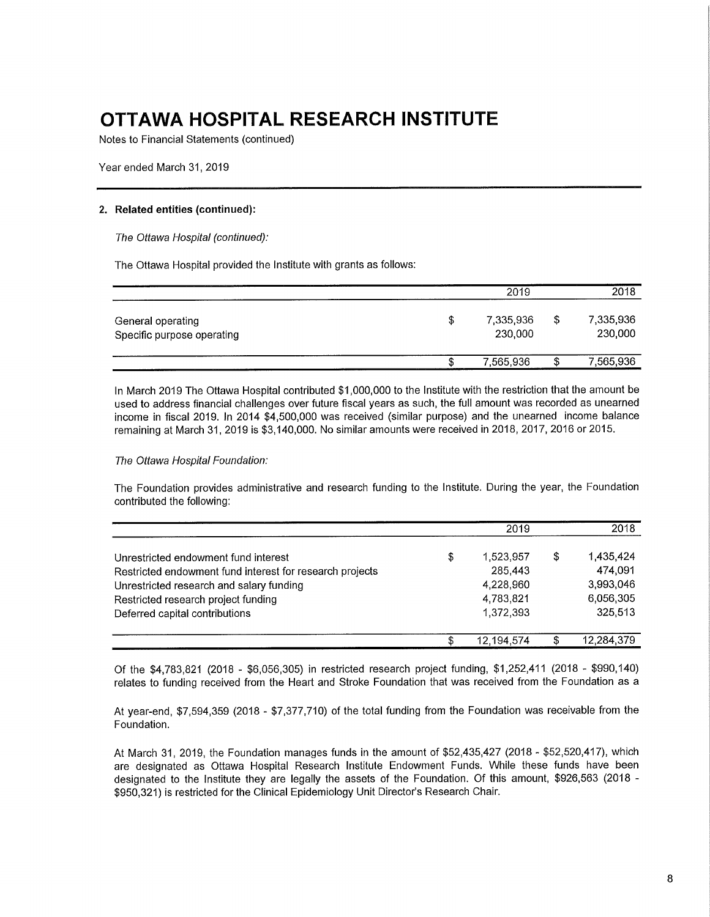Notes to Financial Statements (continued)

Year ended March 31, 2019

### **2. Related entities (continued):**

The Ottawa Hospital (continued):

The Ottawa Hospital provided the Institute with grants as follows:

|                                                 | 2019                       | 2018                 |
|-------------------------------------------------|----------------------------|----------------------|
| General operating<br>Specific purpose operating | \$<br>7,335,936<br>230,000 | 7,335,936<br>230,000 |
|                                                 | 7,565,936                  | 7,565,936            |

In March 2019 The Ottawa Hospital contributed \$1,000,000 to the Institute with the restriction that the amount be used to address financial challenges over future fiscal years as such, the full amount was recorded as unearned income in fiscal 2019. In 2014 \$4,500,000 was received (similar purpose) and the unearned income balance remaining at March 31, 2019 is \$3,140,000. No similar amounts were received in 2018, 2017, 2016 or 2015.

#### The Ottawa Hospital Foundation:

The Foundation provides administrative and research funding to the Institute. During the year, the Foundation contributed the following:

|                                                          | 2019             | 2018            |
|----------------------------------------------------------|------------------|-----------------|
| Unrestricted endowment fund interest                     | \$<br>1.523,957  | \$<br>1,435,424 |
| Restricted endowment fund interest for research projects | 285,443          | 474.091         |
| Unrestricted research and salary funding                 | 4,228,960        | 3,993,046       |
| Restricted research project funding                      | 4,783,821        | 6,056,305       |
| Deferred capital contributions                           | 1.372.393        | 325.513         |
|                                                          | \$<br>12,194,574 | 12.284,379      |

Of the \$4,783,821 (2018 - \$6,056,305) in restricted research project funding, \$1,252,411 (2018 - \$990,140) relates to funding received from the Heart and Stroke Foundation that was received from the Foundation as a

At year-end, \$7,594,359 (2018 - \$7,377,710) of the total funding from the Foundation was receivable from the Foundation.

At March 31, 2019, the Foundation manages funds in the amount of \$52,435,427 (2018 - \$52,520,417), which are designated as Ottawa Hospital Research Institute Endowment Funds. While these funds have been designated to the Institute they are legally the assets of the Foundation. Of this amount, \$926,563 (2018 - \$950,321) is restricted for the Clinical Epidemiology Unit Director's Research Chair.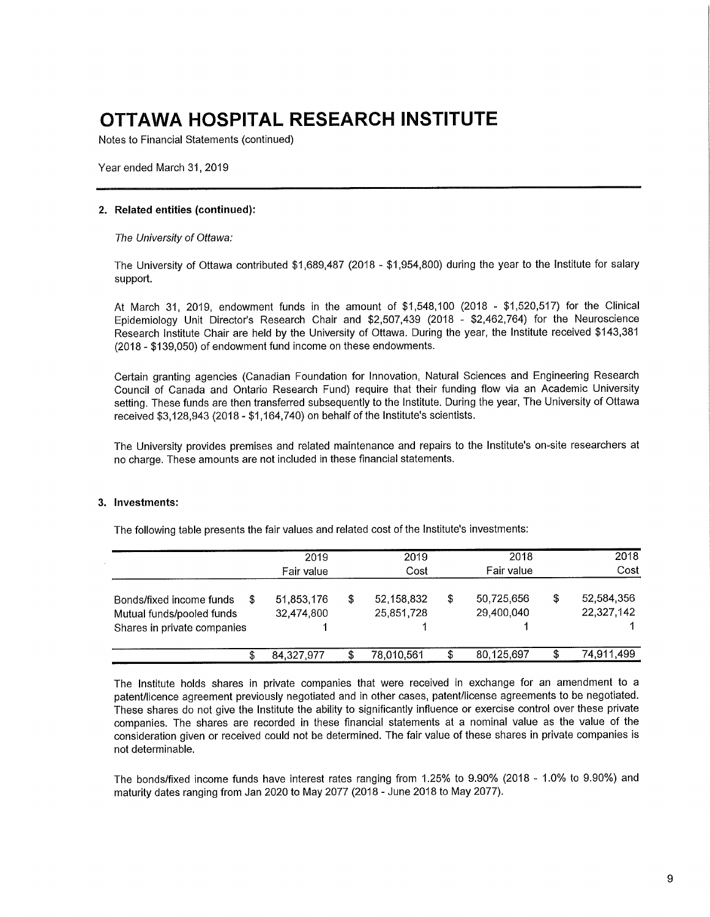Notes to Financial Statements (continued)

Year ended March 31, 2019

### **2. Related entities (continued):**

### The University of Ottawa:

The University of Ottawa contributed \$1,689,487 (2018 - \$1,954,800) during the year to the Institute for salary support.

At March 31, 2019, endowment funds in the amount of \$1,548,100 (2018 - \$1,520,517) for the Clinical Epidemiology Unit Director's Research Chair and \$2,507,439 (2018 - \$2,462,764) for the Neuroscience Research Institute Chair are held by the University of Ottawa. During the year, the Institute received \$143,381 (2018 - \$139,050) of endowment fund income on these endowments.

Certain granting agencies (Canadian Foundation for Innovation, Natural Sciences and Engineering Research Council of Canada and Ontario Research Fund) require that their funding flow via an Academic University setting. These funds are then transferred subsequently to the Institute. During the year, The University of Ottawa received \$3,128,943 (2018 - \$1,164,740) on behalf of the Institute's scientists.

The University provides premises and related maintenance and repairs to the Institute's on-site researchers at no charge. These amounts are not included in these financial statements.

## **3. Investments:**

The following table presents the fair values and related cost of the Institute's investments:

|                                                                                      |    | 2019<br>Fair value       | 2019<br>Cost                   |    | 2018<br>Fair value       |    | 2018<br>Cost             |
|--------------------------------------------------------------------------------------|----|--------------------------|--------------------------------|----|--------------------------|----|--------------------------|
| Bonds/fixed income funds<br>Mutual funds/pooled funds<br>Shares in private companies | S. | 51,853,176<br>32,474,800 | \$<br>52.158.832<br>25,851,728 | \$ | 50,725,656<br>29,400,040 | \$ | 52,584,356<br>22,327,142 |
|                                                                                      |    | 84,327,977               | 78,010,561                     | S  | 80,125,697               | S  | 74.911,499               |

The Institute holds shares in private companies that were received in exchange for an amendment to a patent/licence agreement previously negotiated and in other cases, patent/license agreements to be negotiated. These shares do not give the Institute the ability to significantly influence or exercise control over these private companies. The shares are recorded in these financial statements at a nominal value as the value of the consideration given or received could not be determined. The fair value of these shares in private companies is not determinable.

The bonds/fixed income funds have interest rates ranging from 1.25% to 9.90% (2018 - 1.0% to 9.90%) and maturity dates ranging from Jan 2020 to May 2077 (2018 - June 2018 to May 2077).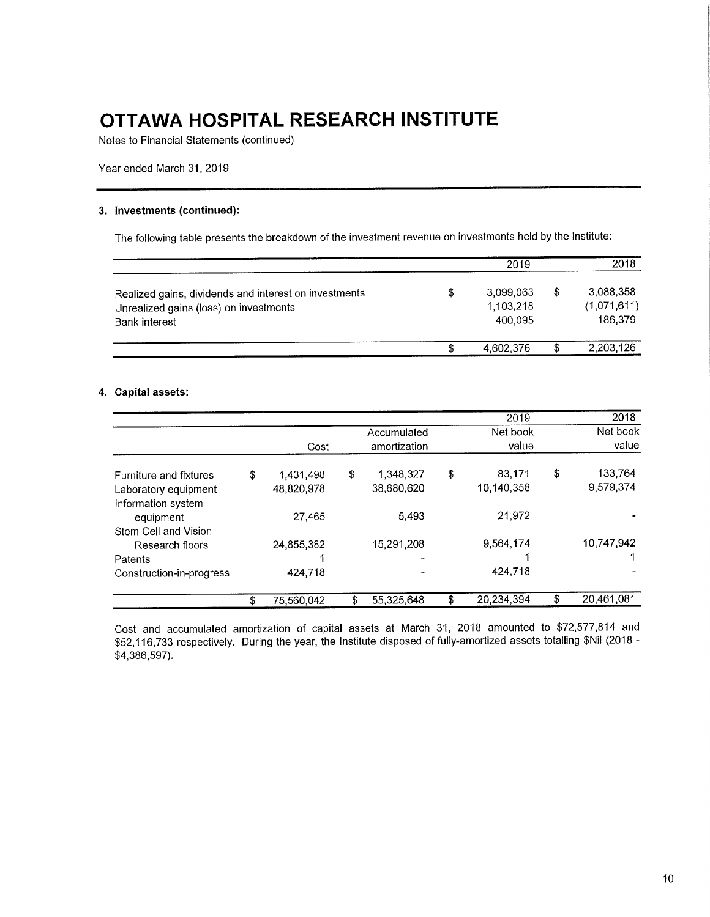$\sim$ 

Notes to Financial Statements (continued)

Year ended March 31, 2019

## **3. Investments (continued):**

The following table presents the breakdown of the investment revenue on investments held by the Institute:

|                                                                                                                         | 2019                                    | 2018                                |
|-------------------------------------------------------------------------------------------------------------------------|-----------------------------------------|-------------------------------------|
| Realized gains, dividends and interest on investments<br>Unrealized gains (loss) on investments<br><b>Bank interest</b> | \$<br>3,099,063<br>1,103,218<br>400.095 | 3.088.358<br>(1,071,611)<br>186,379 |
|                                                                                                                         | 4,602,376                               | 2,203,126                           |

## **4. Capital assets:**

|                          |    |            |                  | 2019             | 2018          |
|--------------------------|----|------------|------------------|------------------|---------------|
|                          |    |            | Accumulated      | Net book         | Net book      |
|                          |    | Cost       | amortization     | value            | value         |
| Furniture and fixtures   | \$ | 1.431.498  | \$<br>1.348.327  | \$<br>83,171     | \$<br>133,764 |
| Laboratory equipment     |    | 48.820.978 | 38,680,620       | 10,140,358       | 9,579,374     |
| Information system       |    |            |                  |                  |               |
| equipment                |    | 27.465     | 5,493            | 21,972           |               |
| Stem Cell and Vision     |    |            |                  |                  |               |
| Research floors          |    | 24.855,382 | 15,291,208       | 9,564,174        | 10,747,942    |
| Patents                  |    |            |                  |                  |               |
| Construction-in-progress |    | 424,718    |                  | 424,718          |               |
|                          | S. | 75.560.042 | \$<br>55,325,648 | \$<br>20.234.394 | 20,461,081    |

Cost and accumulated amortization of capital assets at March 31, 2018 amounted to \$72,577,814 and \$52,116,733 respectively. During the year, the Institute disposed of fully-amortized assets totalling \$Nil (2018 - \$4,386,597).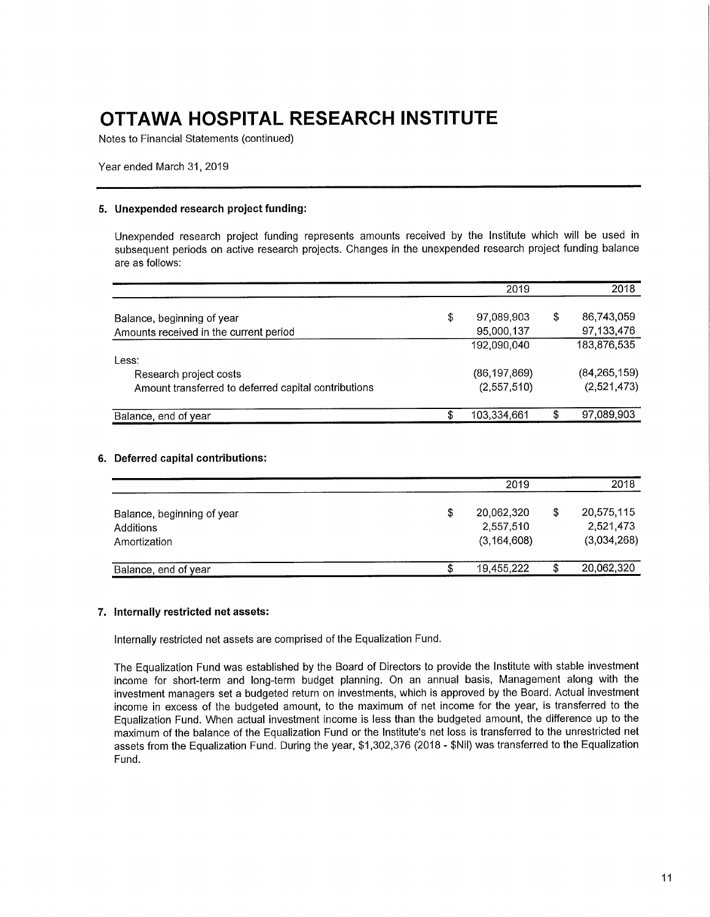Notes to Financial Statements (continued)

Year ended March 31, 2019

### **5. Unexpended research project funding:**

Unexpended research project funding represents amounts received by the Institute which will be used in subsequent periods on active research projects. Changes in the unexpended research project funding balance are as follows:

|                                                      | 2019              | 2018             |
|------------------------------------------------------|-------------------|------------------|
| Balance, beginning of year                           | \$<br>97,089,903  | \$<br>86,743,059 |
| Amounts received in the current period               | 95,000,137        | 97,133,476       |
|                                                      | 192,090,040       | 183,876,535      |
| Less:                                                |                   |                  |
| Research project costs                               | (86, 197, 869)    | (84, 265, 159)   |
| Amount transferred to deferred capital contributions | (2,557,510)       | (2,521,473)      |
| Balance, end of year                                 | \$<br>103,334,661 | 97,089,903       |

### **6. Deferred capital contributions:**

|                                                         | 2019                                           |   | 2018                                   |
|---------------------------------------------------------|------------------------------------------------|---|----------------------------------------|
| Balance, beginning of year<br>Additions<br>Amortization | \$<br>20,062,320<br>2,557,510<br>(3, 164, 608) |   | 20,575,115<br>2,521,473<br>(3,034,268) |
| Balance, end of year                                    | 19,455,222                                     | S | 20,062,320                             |

### **7. Internally restricted net assets:**

Internally restricted net assets are comprised of the Equalization Fund.

The Equalization Fund was established by the Board of Directors to provide the Institute with stable investment income for short-term and long-term budget planning. On an annual basis, Management along with the investment managers set a budgeted return on investments, which is approved by the Board. Actual investment income in excess of the budgeted amount, to the maximum of net income for the year, is transferred to the Equalization Fund. When actual investment income is less than the budgeted amount, the difference up to the maximum of the balance of the Equalization Fund or the Institute's net loss is transferred to the unrestricted net assets from the Equalization Fund. During the year, \$1,302,376 (2018- \$Nil) was transferred to the Equalization Fund.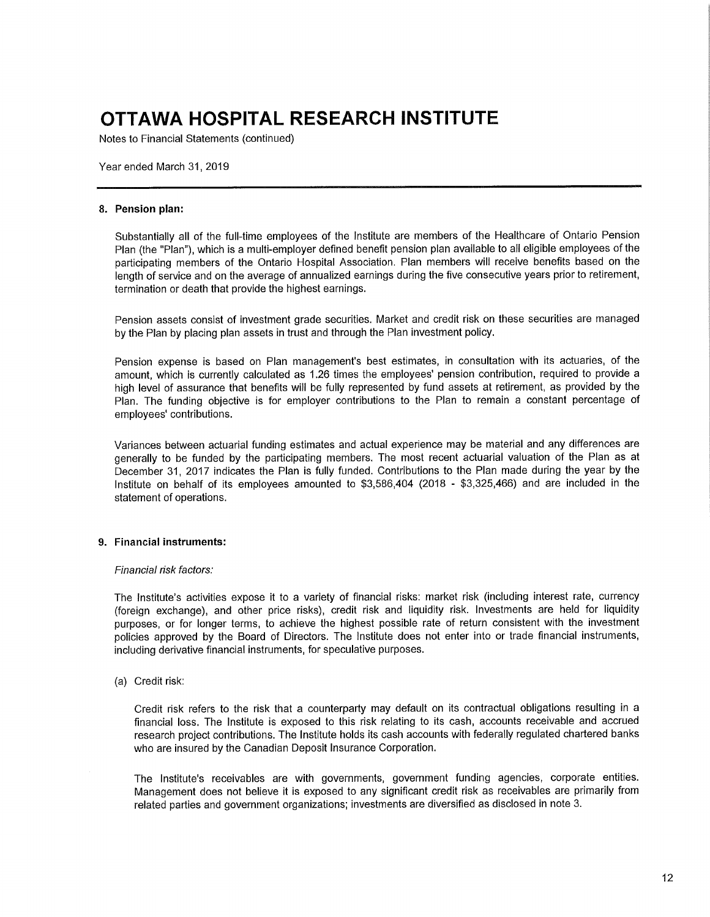Notes to Financial Statements (continued)

Year ended March 31, 2019

#### **8. Pension plan:**

Substantially all of the full-time employees of the Institute are members of the Healthcare of Ontario Pension Plan (the "Plan"), which is a multi-employer defined benefit pension plan available to all eligible employees of the participating members of the Ontario Hospital Association. Plan members will receive benefits based on the length of service and on the average of annualized earnings during the five consecutive years prior to retirement, termination or death that provide the highest earnings.

Pension assets consist of investment grade securities. Market and credit risk on these securities are managed by the Plan by placing plan assets in trust and through the Plan investment policy.

Pension expense is based on Plan management's best estimates, in consultation with its actuaries, of the amount, which is currently calculated as 1.26 times the employees' pension contribution, required to provide a high level of assurance that benefits will be fully represented by fund assets at retirement, as provided by the Plan. The funding objective is for employer contributions to the Plan to remain a constant percentage of employees' contributions.

Variances between actuarial funding estimates and actual experience may be material and any differences are generally to be funded by the participating members. The most recent actuarial valuation of the Plan as at December 31, 2017 indicates the Plan is fully funded. Contributions to the Plan made during the year by the Institute on behalf of its employees amounted to \$3,586,404 (2018 - \$3,325,466) and are included in the statement of operations.

### **9. Financial instruments:**

#### Financial risk factors:

The Institute's activities expose it to a variety of financial risks: market risk (including interest rate, currency (foreign exchange), and other price risks), credit risk and liquidity risk. Investments are held for liquidity purposes, or for longer terms, to achieve the highest possible rate of return consistent with the investment policies approved by the Board of Directors. The Institute does not enter into or trade financial instruments, including derivative financial instruments, for speculative purposes.

(a) Credit risk:

Credit risk refers to the risk that a counterparty may default on its contractual obligations resulting in a financial loss. The Institute is exposed to this risk relating to its cash, accounts receivable and accrued research project contributions. The Institute holds its cash accounts with federally regulated chartered banks who are insured by the Canadian Deposit Insurance Corporation.

The Institute's receivables are with governments, government funding agencies, corporate entities. Management does not believe it is exposed to any significant credit risk as receivables are primarily from related parties and government organizations; investments are diversified as disclosed in note 3.